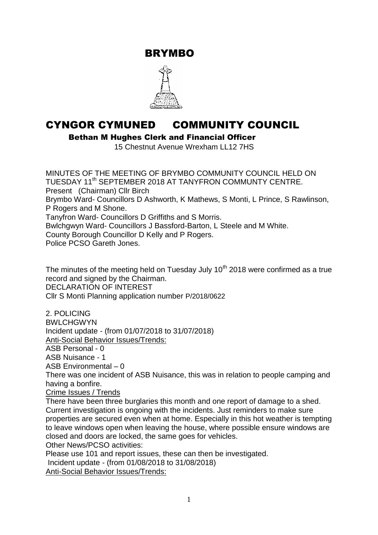BRYMBO



# CYNGOR CYMUNED COMMUNITY COUNCIL

Bethan M Hughes Clerk and Financial Officer

15 Chestnut Avenue Wrexham LL12 7HS

MINUTES OF THE MEETING OF BRYMBO COMMUNITY COUNCIL HELD ON TUESDAY 11<sup>th</sup> SEPTEMBER 2018 AT TANYFRON COMMUNTY CENTRE. Present (Chairman) Cllr Birch Brymbo Ward- Councillors D Ashworth, K Mathews, S Monti, L Prince, S Rawlinson, P Rogers and M Shone. Tanyfron Ward- Councillors D Griffiths and S Morris. Bwlchgwyn Ward- Councillors J Bassford-Barton, L Steele and M White. County Borough Councillor D Kelly and P Rogers. Police PCSO Gareth Jones.

The minutes of the meeting held on Tuesday July  $10<sup>th</sup>$  2018 were confirmed as a true record and signed by the Chairman. DECLARATION OF INTEREST Cllr S Monti Planning application number P/2018/0622

2. POLICING **BWLCHGWYN** Incident update - (from 01/07/2018 to 31/07/2018) Anti-Social Behavior Issues/Trends: ASB Personal - 0 ASB Nuisance - 1 ASB Environmental – 0

There was one incident of ASB Nuisance, this was in relation to people camping and having a bonfire.

Crime Issues / Trends

There have been three burglaries this month and one report of damage to a shed. Current investigation is ongoing with the incidents. Just reminders to make sure properties are secured even when at home. Especially in this hot weather is tempting to leave windows open when leaving the house, where possible ensure windows are closed and doors are locked, the same goes for vehicles.

Other News/PCSO activities:

Please use 101 and report issues, these can then be investigated.

Incident update - (from 01/08/2018 to 31/08/2018)

Anti-Social Behavior Issues/Trends: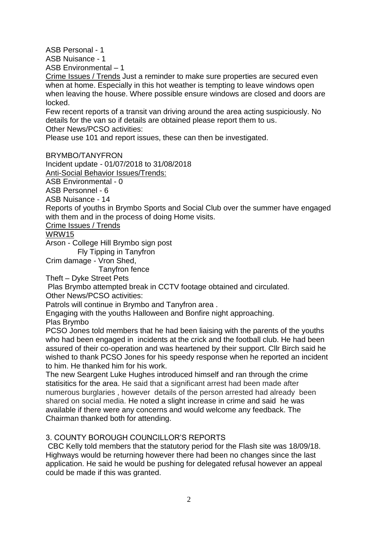ASB Personal - 1

ASB Nuisance - 1

ASB Environmental – 1

Crime Issues / Trends Just a reminder to make sure properties are secured even when at home. Especially in this hot weather is tempting to leave windows open when leaving the house. Where possible ensure windows are closed and doors are locked.

Few recent reports of a transit van driving around the area acting suspiciously. No details for the van so if details are obtained please report them to us. Other News/PCSO activities:

Please use 101 and report issues, these can then be investigated.

### BRYMBO/TANYFRON

Incident update - 01/07/2018 to 31/08/2018

Anti-Social Behavior Issues/Trends:

ASB Environmental - 0

ASB Personnel - 6

ASB Nuisance - 14

Reports of youths in Brymbo Sports and Social Club over the summer have engaged with them and in the process of doing Home visits.

### Crime Issues / Trends

### WRW15

Arson - College Hill Brymbo sign post

Fly Tipping in Tanyfron

Crim damage - Vron Shed,

Tanyfron fence

Theft – Dyke Street Pets

Plas Brymbo attempted break in CCTV footage obtained and circulated. Other News/PCSO activities:

Patrols will continue in Brymbo and Tanyfron area .

Engaging with the youths Halloween and Bonfire night approaching. Plas Brymbo

PCSO Jones told members that he had been liaising with the parents of the youths who had been engaged in incidents at the crick and the football club. He had been assured of their co-operation and was heartened by their support. Cllr Birch said he wished to thank PCSO Jones for his speedy response when he reported an incident to him. He thanked him for his work.

The new Seargent Luke Hughes introduced himself and ran through the crime statisitics for the area. He said that a significant arrest had been made after numerous burglaries , however details of the person arrested had already been shared on social media. He noted a slight increase in crime and said he was available if there were any concerns and would welcome any feedback. The Chairman thanked both for attending.

## 3. COUNTY BOROUGH COUNCILLOR'S REPORTS

CBC Kelly told members that the statutory period for the Flash site was 18/09/18. Highways would be returning however there had been no changes since the last application. He said he would be pushing for delegated refusal however an appeal could be made if this was granted.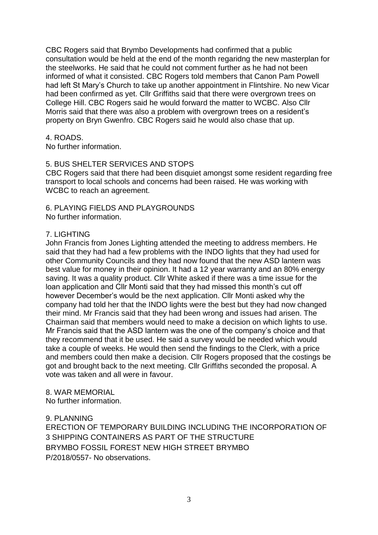CBC Rogers said that Brymbo Developments had confirmed that a public consultation would be held at the end of the month regaridng the new masterplan for the steelworks. He said that he could not comment further as he had not been informed of what it consisted. CBC Rogers told members that Canon Pam Powell had left St Mary's Church to take up another appointment in Flintshire. No new Vicar had been confirmed as yet. Cllr Griffiths said that there were overgrown trees on College Hill. CBC Rogers said he would forward the matter to WCBC. Also Cllr Morris said that there was also a problem with overgrown trees on a resident's property on Bryn Gwenfro. CBC Rogers said he would also chase that up.

### 4. ROADS.

No further information.

### 5. BUS SHELTER SERVICES AND STOPS

CBC Rogers said that there had been disquiet amongst some resident regarding free transport to local schools and concerns had been raised. He was working with WCBC to reach an agreement.

# 6. PLAYING FIELDS AND PLAYGROUNDS

No further information.

### 7. LIGHTING

John Francis from Jones Lighting attended the meeting to address members. He said that they had had a few problems with the INDO lights that they had used for other Community Councils and they had now found that the new ASD lantern was best value for money in their opinion. It had a 12 year warranty and an 80% energy saving. It was a quality product. Cllr White asked if there was a time issue for the loan application and Cllr Monti said that they had missed this month's cut off however December's would be the next application. Cllr Monti asked why the company had told her that the INDO lights were the best but they had now changed their mind. Mr Francis said that they had been wrong and issues had arisen. The Chairman said that members would need to make a decision on which lights to use. Mr Francis said that the ASD lantern was the one of the company's choice and that they recommend that it be used. He said a survey would be needed which would take a couple of weeks. He would then send the findings to the Clerk, with a price and members could then make a decision. Cllr Rogers proposed that the costings be got and brought back to the next meeting. Cllr Griffiths seconded the proposal. A vote was taken and all were in favour.

# 8. WAR MEMORIAL

No further information.

### 9. PLANNING

ERECTION OF TEMPORARY BUILDING INCLUDING THE INCORPORATION OF 3 SHIPPING CONTAINERS AS PART OF THE STRUCTURE BRYMBO FOSSIL FOREST NEW HIGH STREET BRYMBO P/2018/0557- No observations.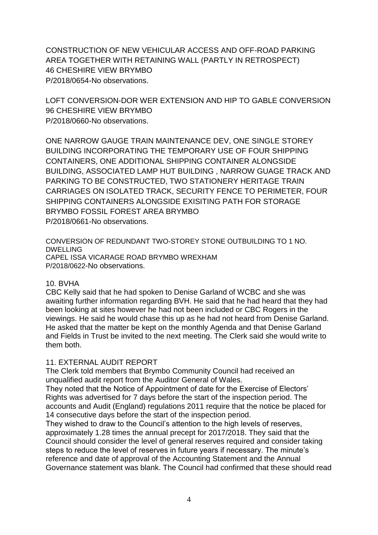CONSTRUCTION OF NEW VEHICULAR ACCESS AND OFF-ROAD PARKING AREA TOGETHER WITH RETAINING WALL (PARTLY IN RETROSPECT) 46 CHESHIRE VIEW BRYMBO P/2018/0654-No observations.

LOFT CONVERSION-DOR WER EXTENSION AND HIP TO GABLE CONVERSION 96 CHESHIRE VIEW BRYMBO P/2018/0660-No observations.

ONE NARROW GAUGE TRAIN MAINTENANCE DEV, ONE SINGLE STOREY BUILDING INCORPORATING THE TEMPORARY USE OF FOUR SHIPPING CONTAINERS, ONE ADDITIONAL SHIPPING CONTAINER ALONGSIDE BUILDING, ASSOCIATED LAMP HUT BUILDING , NARROW GUAGE TRACK AND PARKING TO BE CONSTRUCTED, TWO STATIONERY HERITAGE TRAIN CARRIAGES ON ISOLATED TRACK, SECURITY FENCE TO PERIMETER, FOUR SHIPPING CONTAINERS ALONGSIDE EXISITING PATH FOR STORAGE BRYMBO FOSSIL FOREST AREA BRYMBO P/2018/0661-No observations.

CONVERSION OF REDUNDANT TWO-STOREY STONE OUTBUILDING TO 1 NO. DWELLING CAPEL ISSA VICARAGE ROAD BRYMBO WREXHAM P/2018/0622-No observations.

#### 10. BVHA

CBC Kelly said that he had spoken to Denise Garland of WCBC and she was awaiting further information regarding BVH. He said that he had heard that they had been looking at sites however he had not been included or CBC Rogers in the viewings. He said he would chase this up as he had not heard from Denise Garland. He asked that the matter be kept on the monthly Agenda and that Denise Garland and Fields in Trust be invited to the next meeting. The Clerk said she would write to them both.

### 11. EXTERNAL AUDIT REPORT

The Clerk told members that Brymbo Community Council had received an unqualified audit report from the Auditor General of Wales.

They noted that the Notice of Appointment of date for the Exercise of Electors' Rights was advertised for 7 days before the start of the inspection period. The accounts and Audit (England) regulations 2011 require that the notice be placed for 14 consecutive days before the start of the inspection period.

They wished to draw to the Council's attention to the high levels of reserves, approximately 1.28 times the annual precept for 2017/2018. They said that the Council should consider the level of general reserves required and consider taking steps to reduce the level of reserves in future years if necessary. The minute's reference and date of approval of the Accounting Statement and the Annual Governance statement was blank. The Council had confirmed that these should read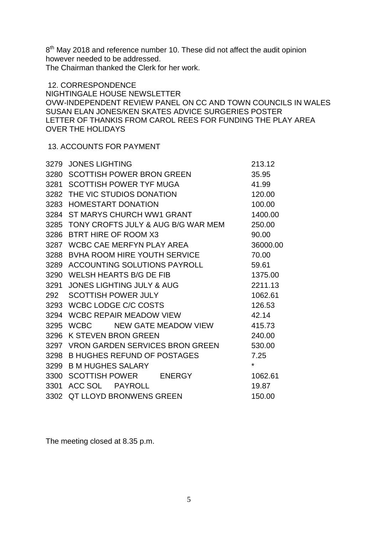8<sup>th</sup> May 2018 and reference number 10. These did not affect the audit opinion however needed to be addressed.

The Chairman thanked the Clerk for her work.

12. CORRESPONDENCE NIGHTINGALE HOUSE NEWSLETTER OVW-INDEPENDENT REVIEW PANEL ON CC AND TOWN COUNCILS IN WALES SUSAN ELAN JONES/KEN SKATES ADVICE SURGERIES POSTER LETTER OF THANKIS FROM CAROL REES FOR FUNDING THE PLAY AREA OVER THE HOLIDAYS

### 13. ACCOUNTS FOR PAYMENT

| 3279 | <b>JONES LIGHTING</b>                   | 213.12   |
|------|-----------------------------------------|----------|
| 3280 | <b>SCOTTISH POWER BRON GREEN</b>        | 35.95    |
| 3281 | <b>SCOTTISH POWER TYF MUGA</b>          | 41.99    |
| 3282 | THE VIC STUDIOS DONATION                | 120.00   |
| 3283 | <b>HOMESTART DONATION</b>               | 100.00   |
| 3284 | ST MARYS CHURCH WW1 GRANT               | 1400.00  |
|      | 3285 TONY CROFTS JULY & AUG B/G WAR MEM | 250.00   |
| 3286 | BTRT HIRE OF ROOM X3                    | 90.00    |
| 3287 | WCBC CAE MERFYN PLAY AREA               | 36000.00 |
| 3288 | BVHA ROOM HIRE YOUTH SERVICE            | 70.00    |
| 3289 | <b>ACCOUNTING SOLUTIONS PAYROLL</b>     | 59.61    |
| 3290 | <b>WELSH HEARTS B/G DE FIB</b>          | 1375.00  |
| 3291 | <b>JONES LIGHTING JULY &amp; AUG</b>    | 2211.13  |
| 292  | <b>SCOTTISH POWER JULY</b>              | 1062.61  |
|      | 3293 WCBC LODGE C/C COSTS               | 126.53   |
| 3294 | <b>WCBC REPAIR MEADOW VIEW</b>          | 42.14    |
| 3295 | NEW GATE MEADOW VIEW<br><b>WCBC</b>     | 415.73   |
| 3296 | <b>K STEVEN BRON GREEN</b>              | 240.00   |
| 3297 | <b>VRON GARDEN SERVICES BRON GREEN</b>  | 530.00   |
| 3298 | <b>B HUGHES REFUND OF POSTAGES</b>      | 7.25     |
| 3299 | <b>B M HUGHES SALARY</b>                | ¥        |
|      | 3300 SCOTTISH POWER ENERGY              | 1062.61  |
| 3301 | ACC SOL<br><b>PAYROLL</b>               | 19.87    |
| 3302 | <b>QT LLOYD BRONWENS GREEN</b>          | 150.00   |

The meeting closed at 8.35 p.m.